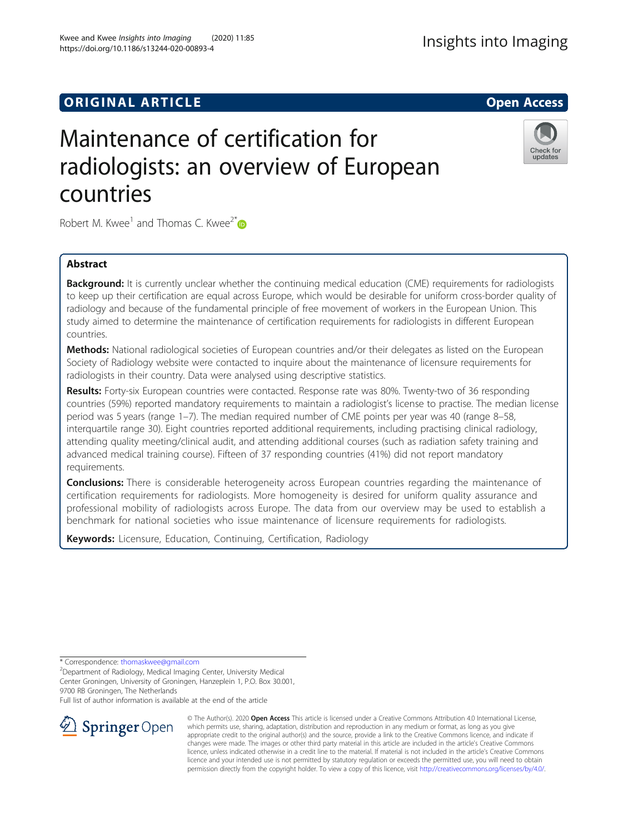## **ORIGINAL ARTICLE** And the open Access of the Open Access of the Open Access of the Open Access of the Open Access

# Maintenance of certification for radiologists: an overview of European countries

Robert M. Kwee<sup>1</sup> and Thomas C. Kwee<sup>2[\\*](http://orcid.org/0000-0001-9005-8529)</sup>

## Abstract

**Background:** It is currently unclear whether the continuing medical education (CME) requirements for radiologists to keep up their certification are equal across Europe, which would be desirable for uniform cross-border quality of radiology and because of the fundamental principle of free movement of workers in the European Union. This study aimed to determine the maintenance of certification requirements for radiologists in different European countries.

Methods: National radiological societies of European countries and/or their delegates as listed on the European Society of Radiology website were contacted to inquire about the maintenance of licensure requirements for radiologists in their country. Data were analysed using descriptive statistics.

Results: Forty-six European countries were contacted. Response rate was 80%. Twenty-two of 36 responding countries (59%) reported mandatory requirements to maintain a radiologist's license to practise. The median license period was 5 years (range 1–7). The median required number of CME points per year was 40 (range 8–58, interquartile range 30). Eight countries reported additional requirements, including practising clinical radiology, attending quality meeting/clinical audit, and attending additional courses (such as radiation safety training and advanced medical training course). Fifteen of 37 responding countries (41%) did not report mandatory requirements.

**Conclusions:** There is considerable heterogeneity across European countries regarding the maintenance of certification requirements for radiologists. More homogeneity is desired for uniform quality assurance and professional mobility of radiologists across Europe. The data from our overview may be used to establish a benchmark for national societies who issue maintenance of licensure requirements for radiologists.

Keywords: Licensure, Education, Continuing, Certification, Radiology

\* Correspondence: [thomaskwee@gmail.com](mailto:thomaskwee@gmail.com) <sup>2</sup>

Department of Radiology, Medical Imaging Center, University Medical Center Groningen, University of Groningen, Hanzeplein 1, P.O. Box 30.001, 9700 RB Groningen, The Netherlands

Full list of author information is available at the end of the article



© The Author(s). 2020 Open Access This article is licensed under a Creative Commons Attribution 4.0 International License, which permits use, sharing, adaptation, distribution and reproduction in any medium or format, as long as you give appropriate credit to the original author(s) and the source, provide a link to the Creative Commons licence, and indicate if changes were made. The images or other third party material in this article are included in the article's Creative Commons licence, unless indicated otherwise in a credit line to the material. If material is not included in the article's Creative Commons licence and your intended use is not permitted by statutory regulation or exceeds the permitted use, you will need to obtain permission directly from the copyright holder. To view a copy of this licence, visit <http://creativecommons.org/licenses/by/4.0/>.



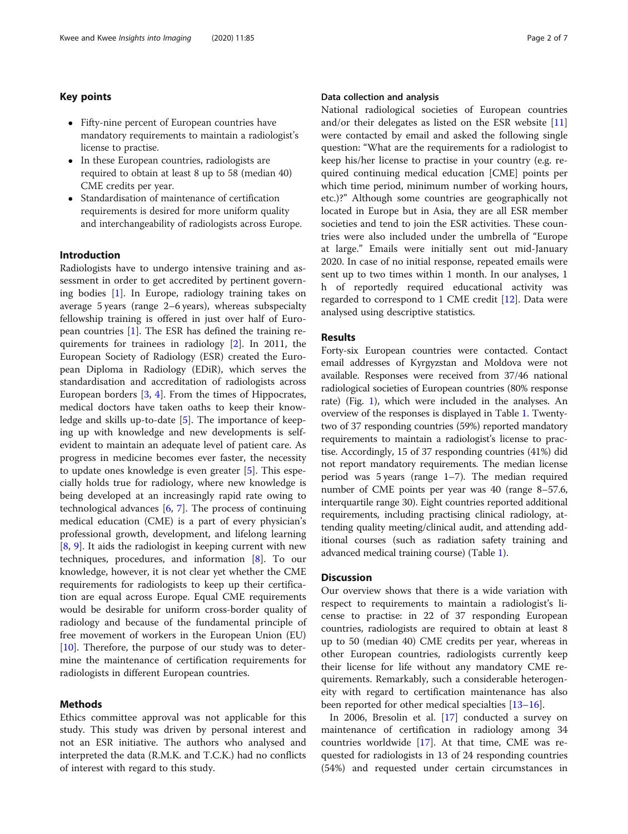## Key points

- Fifty-nine percent of European countries have mandatory requirements to maintain a radiologist's license to practise.
- In these European countries, radiologists are required to obtain at least 8 up to 58 (median 40) CME credits per year.
- Standardisation of maintenance of certification requirements is desired for more uniform quality and interchangeability of radiologists across Europe.

## Introduction

Radiologists have to undergo intensive training and assessment in order to get accredited by pertinent governing bodies [[1\]](#page-6-0). In Europe, radiology training takes on average 5 years (range 2–6 years), whereas subspecialty fellowship training is offered in just over half of European countries [[1\]](#page-6-0). The ESR has defined the training requirements for trainees in radiology [\[2](#page-6-0)]. In 2011, the European Society of Radiology (ESR) created the European Diploma in Radiology (EDiR), which serves the standardisation and accreditation of radiologists across European borders [[3,](#page-6-0) [4\]](#page-6-0). From the times of Hippocrates, medical doctors have taken oaths to keep their knowledge and skills up-to-date [\[5](#page-6-0)]. The importance of keeping up with knowledge and new developments is selfevident to maintain an adequate level of patient care. As progress in medicine becomes ever faster, the necessity to update ones knowledge is even greater [\[5](#page-6-0)]. This especially holds true for radiology, where new knowledge is being developed at an increasingly rapid rate owing to technological advances [\[6](#page-6-0), [7\]](#page-6-0). The process of continuing medical education (CME) is a part of every physician's professional growth, development, and lifelong learning [[8,](#page-6-0) [9\]](#page-6-0). It aids the radiologist in keeping current with new techniques, procedures, and information [[8\]](#page-6-0). To our knowledge, however, it is not clear yet whether the CME requirements for radiologists to keep up their certification are equal across Europe. Equal CME requirements would be desirable for uniform cross-border quality of radiology and because of the fundamental principle of free movement of workers in the European Union (EU)  $[10]$  $[10]$ . Therefore, the purpose of our study was to determine the maintenance of certification requirements for radiologists in different European countries.

#### Methods

Ethics committee approval was not applicable for this study. This study was driven by personal interest and not an ESR initiative. The authors who analysed and interpreted the data (R.M.K. and T.C.K.) had no conflicts of interest with regard to this study.

## Data collection and analysis

National radiological societies of European countries and/or their delegates as listed on the ESR website [[11](#page-6-0)] were contacted by email and asked the following single question: "What are the requirements for a radiologist to keep his/her license to practise in your country (e.g. required continuing medical education [CME] points per which time period, minimum number of working hours, etc.)?" Although some countries are geographically not located in Europe but in Asia, they are all ESR member societies and tend to join the ESR activities. These countries were also included under the umbrella of "Europe at large." Emails were initially sent out mid-January 2020. In case of no initial response, repeated emails were sent up to two times within 1 month. In our analyses, 1 h of reportedly required educational activity was regarded to correspond to 1 CME credit [\[12](#page-6-0)]. Data were analysed using descriptive statistics.

## Results

Forty-six European countries were contacted. Contact email addresses of Kyrgyzstan and Moldova were not available. Responses were received from 37/46 national radiological societies of European countries (80% response rate) (Fig. [1\)](#page-2-0), which were included in the analyses. An overview of the responses is displayed in Table [1.](#page-3-0) Twentytwo of 37 responding countries (59%) reported mandatory requirements to maintain a radiologist's license to practise. Accordingly, 15 of 37 responding countries (41%) did not report mandatory requirements. The median license period was 5 years (range 1–7). The median required number of CME points per year was 40 (range 8–57.6, interquartile range 30). Eight countries reported additional requirements, including practising clinical radiology, attending quality meeting/clinical audit, and attending additional courses (such as radiation safety training and advanced medical training course) (Table [1](#page-3-0)).

## **Discussion**

Our overview shows that there is a wide variation with respect to requirements to maintain a radiologist's license to practise: in 22 of 37 responding European countries, radiologists are required to obtain at least 8 up to 50 (median 40) CME credits per year, whereas in other European countries, radiologists currently keep their license for life without any mandatory CME requirements. Remarkably, such a considerable heterogeneity with regard to certification maintenance has also been reported for other medical specialties [[13](#page-6-0)–[16\]](#page-6-0).

In 2006, Bresolin et al. [[17](#page-6-0)] conducted a survey on maintenance of certification in radiology among 34 countries worldwide [\[17](#page-6-0)]. At that time, CME was requested for radiologists in 13 of 24 responding countries (54%) and requested under certain circumstances in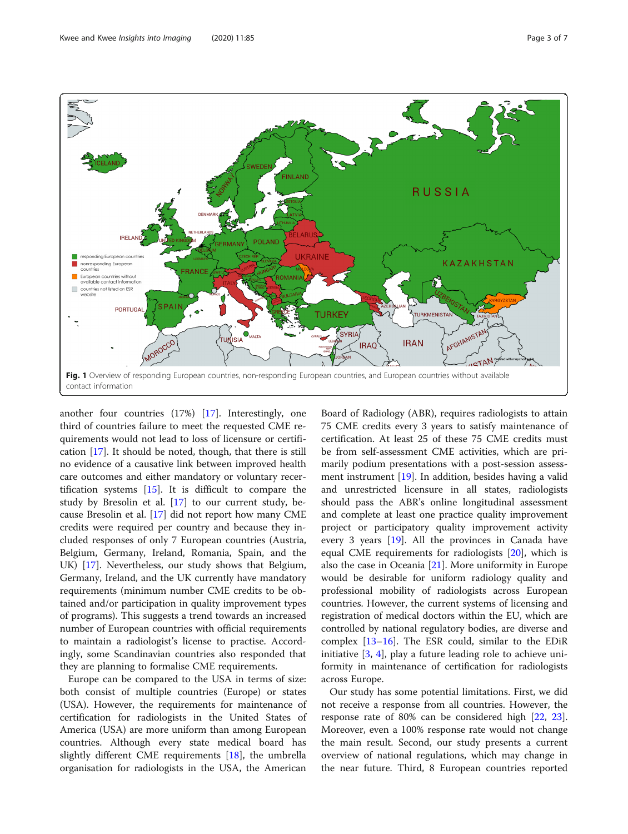<span id="page-2-0"></span>

another four countries (17%) [[17](#page-6-0)]. Interestingly, one third of countries failure to meet the requested CME requirements would not lead to loss of licensure or certification [\[17](#page-6-0)]. It should be noted, though, that there is still no evidence of a causative link between improved health care outcomes and either mandatory or voluntary recertification systems  $[15]$  $[15]$ . It is difficult to compare the study by Bresolin et al. [[17](#page-6-0)] to our current study, because Bresolin et al. [\[17\]](#page-6-0) did not report how many CME credits were required per country and because they included responses of only 7 European countries (Austria, Belgium, Germany, Ireland, Romania, Spain, and the UK) [\[17](#page-6-0)]. Nevertheless, our study shows that Belgium, Germany, Ireland, and the UK currently have mandatory requirements (minimum number CME credits to be obtained and/or participation in quality improvement types of programs). This suggests a trend towards an increased number of European countries with official requirements to maintain a radiologist's license to practise. Accordingly, some Scandinavian countries also responded that they are planning to formalise CME requirements.

Europe can be compared to the USA in terms of size: both consist of multiple countries (Europe) or states (USA). However, the requirements for maintenance of certification for radiologists in the United States of America (USA) are more uniform than among European countries. Although every state medical board has slightly different CME requirements [\[18\]](#page-6-0), the umbrella organisation for radiologists in the USA, the American

Board of Radiology (ABR), requires radiologists to attain 75 CME credits every 3 years to satisfy maintenance of certification. At least 25 of these 75 CME credits must be from self-assessment CME activities, which are primarily podium presentations with a post-session assessment instrument [\[19](#page-6-0)]. In addition, besides having a valid and unrestricted licensure in all states, radiologists should pass the ABR's online longitudinal assessment and complete at least one practice quality improvement project or participatory quality improvement activity every 3 years [[19](#page-6-0)]. All the provinces in Canada have equal CME requirements for radiologists [\[20](#page-6-0)], which is also the case in Oceania [\[21](#page-6-0)]. More uniformity in Europe would be desirable for uniform radiology quality and professional mobility of radiologists across European countries. However, the current systems of licensing and registration of medical doctors within the EU, which are controlled by national regulatory bodies, are diverse and complex  $[13-16]$  $[13-16]$  $[13-16]$ . The ESR could, similar to the EDiR initiative [\[3](#page-6-0), [4\]](#page-6-0), play a future leading role to achieve uniformity in maintenance of certification for radiologists across Europe.

Our study has some potential limitations. First, we did not receive a response from all countries. However, the response rate of 80% can be considered high [[22,](#page-6-0) [23](#page-6-0)]. Moreover, even a 100% response rate would not change the main result. Second, our study presents a current overview of national regulations, which may change in the near future. Third, 8 European countries reported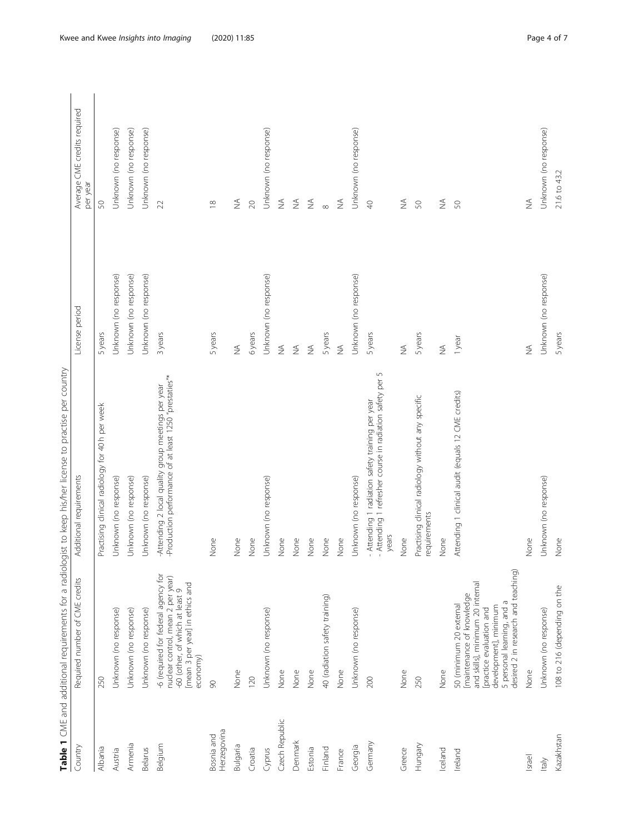| ٢                                                            |  |
|--------------------------------------------------------------|--|
|                                                              |  |
|                                                              |  |
| j                                                            |  |
|                                                              |  |
| i                                                            |  |
| j                                                            |  |
| i                                                            |  |
| .<br>.<br>.                                                  |  |
|                                                              |  |
| í                                                            |  |
|                                                              |  |
|                                                              |  |
| ï                                                            |  |
|                                                              |  |
| 1                                                            |  |
|                                                              |  |
|                                                              |  |
| $\overline{\phantom{a}}$<br>ï                                |  |
|                                                              |  |
|                                                              |  |
|                                                              |  |
|                                                              |  |
|                                                              |  |
|                                                              |  |
| ١                                                            |  |
|                                                              |  |
|                                                              |  |
| ׇ֚֬֕                                                         |  |
| ļ                                                            |  |
| ١                                                            |  |
| I                                                            |  |
|                                                              |  |
|                                                              |  |
| $\ddot{\phantom{0}}$                                         |  |
| I<br>ı                                                       |  |
|                                                              |  |
|                                                              |  |
| ֖֖֖֖֖֖֧ׅ֧ׅ֧֪֪ׅ֖֧֧֪֪֪֪֪֪֪֪֪֧֚֚֚֚֚֚֚֚֚֚֚֚֚֚֚֚֚֚֚֚֚֚֚֬֝֝֝֓֝֓֞֝֬ |  |
|                                                              |  |
|                                                              |  |
| 5                                                            |  |
|                                                              |  |
|                                                              |  |
| ֖֖֖֚֚֚֚֚֚֚֡                                                  |  |
| ١                                                            |  |
|                                                              |  |
|                                                              |  |
| ī<br>٢                                                       |  |
| ٢<br>d                                                       |  |
| J                                                            |  |
| l<br>֧֧֠֜֡                                                   |  |
| I<br>)                                                       |  |
| l                                                            |  |
|                                                              |  |
|                                                              |  |
| able<br>I                                                    |  |

<span id="page-3-0"></span>

| Country                   | Required number of CME credits                                                                                                                                                                                     | Additional requirements                                                                                                | License period               | Average CME credits required<br>per year |
|---------------------------|--------------------------------------------------------------------------------------------------------------------------------------------------------------------------------------------------------------------|------------------------------------------------------------------------------------------------------------------------|------------------------------|------------------------------------------|
| Albania                   | 250                                                                                                                                                                                                                | Practising clinical radiology for 40 h per week                                                                        | 5years                       | 50                                       |
| Austria                   | Unknown (no response)                                                                                                                                                                                              | Unknown (no response)                                                                                                  | Unknown (no response)        | Unknown (no response)                    |
| Armenia                   | Unknown (no response)                                                                                                                                                                                              | Unknown (no response)                                                                                                  | Unknown (no response)        | Unknown (no response)                    |
| Belarus                   | Unknown (no response)                                                                                                                                                                                              | Unknown (no response)                                                                                                  | Unknown (no response)        | Unknown (no response)                    |
| Belgium                   | -6 (required for federal agency for<br>nuclear control, mean 2 per year)<br>mean 3 per year] in ethics and<br>-60 (other, of which at least 9<br>economy)                                                          | -Production performance of at least 1250 "prestaties"*<br>-Attending 2 local quality group meetings per year           | 3 years                      | $\mathfrak{D}$                           |
| Herzegovina<br>Bosnia and | $\infty$                                                                                                                                                                                                           | None                                                                                                                   | 5 years                      | $\approx$                                |
| Bulgaria                  | None                                                                                                                                                                                                               | None                                                                                                                   | $\lessapprox$                | $\frac{4}{2}$                            |
| Croatia                   | 120                                                                                                                                                                                                                | None                                                                                                                   | 6years                       | $\gtrsim$                                |
| Cyprus                    | Unknown (no response)                                                                                                                                                                                              | Unknown (no response)                                                                                                  | Unknown (no response)        | Unknown (no response)                    |
| Czech Republic            | None                                                                                                                                                                                                               | None                                                                                                                   | $\frac{1}{2}$                | $\stackrel{\triangle}{\geq}$             |
| Denmark                   | None                                                                                                                                                                                                               | None                                                                                                                   | $\lessapprox$                | $\lessapprox$                            |
| Estonia                   | None                                                                                                                                                                                                               | None                                                                                                                   | $\stackrel{\triangle}{\geq}$ | $\lessgtr$                               |
| Finland                   | 40 (radiation safety training)                                                                                                                                                                                     | None                                                                                                                   | 5years                       | $\infty$                                 |
| France                    | None                                                                                                                                                                                                               | None                                                                                                                   | $\frac{1}{2}$                | $\lessapprox$                            |
| Georgia                   | Unknown (no response)                                                                                                                                                                                              | Unknown (no response)                                                                                                  | Unknown (no response)        | Unknown (no response)                    |
| Germany                   | 200                                                                                                                                                                                                                | S<br>Attending 1 refresher course in radiation safety per<br>- Attending 1 radiation safety training per year<br>years | 5 years                      | $\Theta$                                 |
| Greece                    | None                                                                                                                                                                                                               | None                                                                                                                   | $\frac{1}{2}$                | $\lessapprox$                            |
| Hungary                   | 250                                                                                                                                                                                                                | Practising clinical radiology without any specific<br>requirements                                                     | 5years                       | 50                                       |
| Iceland                   | None                                                                                                                                                                                                               | None                                                                                                                   | $\lessgtr$                   | $\lessgtr$                               |
| Ireland                   | desired 2 in research and teaching)<br>and skills], minimum 20 internal<br>[maintenance of knowledge<br>5 personal learning, and a<br>50 (minimum 20 external<br>development], minimum<br>[practice evaluation and | Attending 1 clinical audit (equals 12 CME credits)                                                                     | 1 year                       | S                                        |
| Israel                    | None                                                                                                                                                                                                               | None                                                                                                                   | $\frac{1}{2}$                | ≸                                        |
| kaly                      | Unknown (no response)                                                                                                                                                                                              | Unknown (no response)                                                                                                  | Unknown (no response)        | Unknown (no response)                    |
| Kazakhstan                | 108 to 216 (depending on the                                                                                                                                                                                       | None                                                                                                                   | 5 years                      | 21.6 to 43.2                             |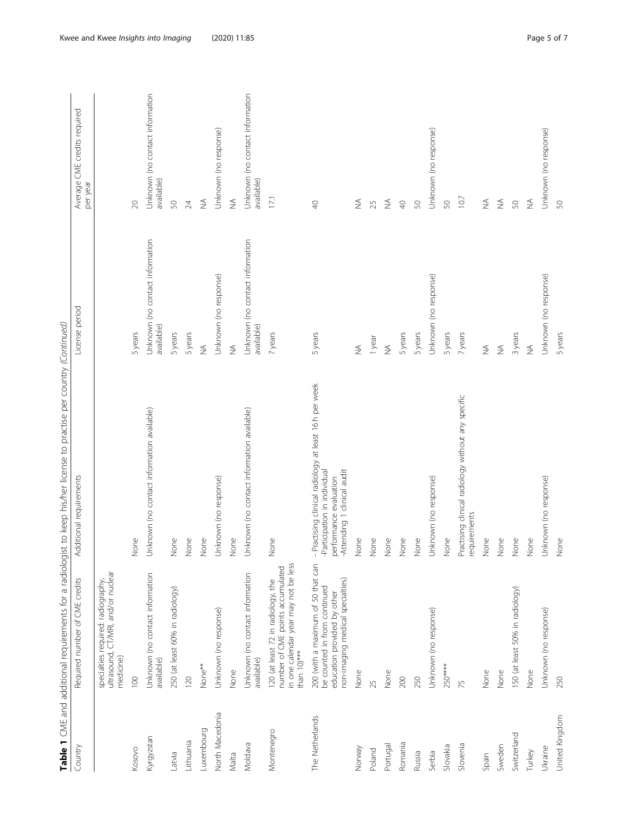|                 |                                                                                                                                       | Table 1 CME and additional requirements for a radiologist to keep his/her license to practise per country (Continued)                         |                                               |                                               |
|-----------------|---------------------------------------------------------------------------------------------------------------------------------------|-----------------------------------------------------------------------------------------------------------------------------------------------|-----------------------------------------------|-----------------------------------------------|
| Country         | Required number of CME credits                                                                                                        | Additional requirements                                                                                                                       | License period                                | Average CME credits required<br>per year      |
|                 | ultrasound, CT/MRI, and/or nuclear<br>specialties required: radiography,<br>medicine)                                                 |                                                                                                                                               |                                               |                                               |
| Kosovo          | 100                                                                                                                                   | None                                                                                                                                          | 5 years                                       | $\infty$                                      |
| Kyrgyzstan      | Unknown (no contact information<br>available)                                                                                         | Unknown (no contact information available)                                                                                                    | Unknown (no contact information<br>available) | Unknown (no contact information<br>available) |
| Latvia          | 250 (at least 60% in radiology)                                                                                                       | None                                                                                                                                          | 5 years                                       | SO,                                           |
| Lithuania       | 120                                                                                                                                   | None                                                                                                                                          | 5years                                        | 24                                            |
| Luxembourg      | None**                                                                                                                                | None                                                                                                                                          | $\frac{1}{2}$                                 | $\lessgtr$                                    |
| North Macedonia | Unknown (no response)                                                                                                                 | Unknown (no response)                                                                                                                         | Unknown (no response)                         | Unknown (no response)                         |
| Malta           | None                                                                                                                                  | None                                                                                                                                          | $\lessapprox$                                 | $\stackrel{\triangle}{\geq}$                  |
| Moldava         | Unknown (no contact information<br>available)                                                                                         | Unknown (no contact information available)                                                                                                    | Unknown (no contact information<br>available) | Unknown (no contact information<br>available) |
| Montenegro      | in one calendar year may not be less<br>number of CME points accumulated<br>120 (at least 72 in radiology, the<br>than 10)***         | None                                                                                                                                          | 7 years                                       | 17.1                                          |
| The Netherlands | 200 (with a maximum of 50 that can<br>non-imaging medical specialties)<br>be counted in from continued<br>education provided by other | - Practising clinical radiology at least 16 h per week<br>Attending 1 clinical audit<br>Participation in individual<br>performance evaluation | 5 years                                       | $\Theta$                                      |
| Norway          | None                                                                                                                                  | None                                                                                                                                          | $\frac{1}{2}$                                 | $\frac{1}{2}$                                 |
| Poland          | 25                                                                                                                                    | None                                                                                                                                          | 1 year                                        | 25                                            |
| Portugal        | None                                                                                                                                  | None                                                                                                                                          | $\frac{1}{2}$                                 | $\lessgtr$                                    |
| Romania         | 200                                                                                                                                   | None                                                                                                                                          | 5 years                                       | $\bigcirc$                                    |
| Russia          | 250                                                                                                                                   | None                                                                                                                                          | 5 years                                       | SO                                            |
| Serbia          | Unknown (no response)                                                                                                                 | Unknown (no response)                                                                                                                         | Unknown (no response)                         | Unknown (no response)                         |
| Slovakia        | $250***$                                                                                                                              | None                                                                                                                                          | 5 years                                       | SO,                                           |
| Slovenia        | 75                                                                                                                                    | Practising clinical radiology without any specific<br>requirements                                                                            | 7 years                                       | 10.7                                          |
| Spain           | None                                                                                                                                  | None                                                                                                                                          | $\lessapprox$                                 | $\frac{1}{2}$                                 |
| Sweden          | None                                                                                                                                  | None                                                                                                                                          | $\lessapprox$                                 | $\stackrel{\triangle}{\geq}$                  |
| Switzerland     | 150 (at least 50% in radiology)                                                                                                       | None                                                                                                                                          | 3 years                                       | S                                             |
| Turkey          | None                                                                                                                                  | None                                                                                                                                          | $\stackrel{\triangle}{\geq}$                  | $\lessgtr$                                    |
| Ukraine         | Unknown (no response)                                                                                                                 | Unknown (no response)                                                                                                                         | Unknown (no response)                         | Unknown (no response)                         |
| United Kingdom  | 250                                                                                                                                   | None                                                                                                                                          | 5 years                                       | 50                                            |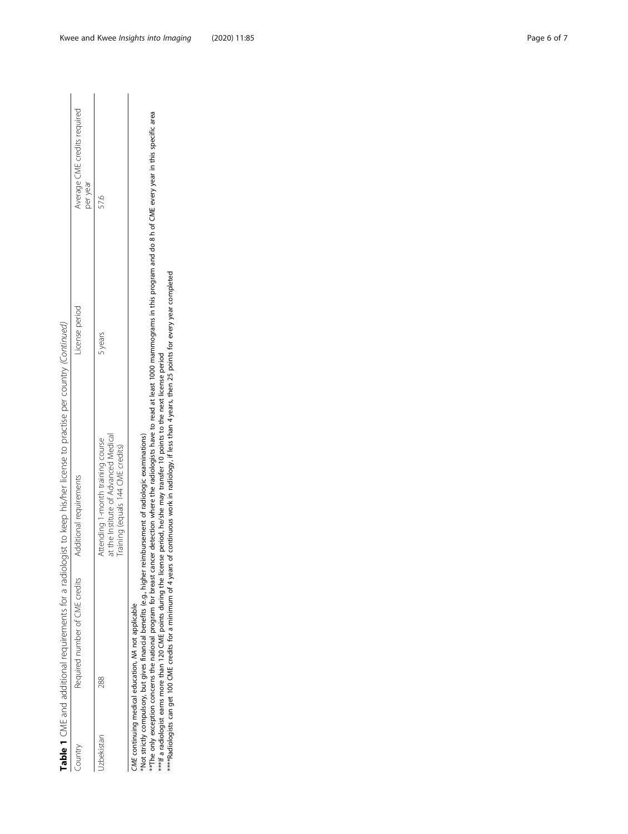Table 1 CME and additional requirements for a radiologist to keep his/her license to practise per country (Continued) Table 1 CME and additional requirements for a radiologist to keep his/her license to practise per country (Continued)

| Average CME credits required<br>per year |                                                                                                               |
|------------------------------------------|---------------------------------------------------------------------------------------------------------------|
| icense perioc                            | years                                                                                                         |
| dditional requirement                    | at the Institute of Advanced Medical<br>Attending 1-month training course<br>raining (equals 144 CME credits) |
| Required number of CME credits           | 288                                                                                                           |
| ountry                                   | Izbekistar                                                                                                    |

CME continuing medical education, NA not applicable

CME continuing medical education, MA not applicable<br>\*Not strictly compulsory, but gives financial benefits (e.g., higher reimbursement of radiologic examinations) \*Not strictly compulsory, but gives financial benefits (e.g., higher reimbursement of radiologic examinations)

\*\*The only exception concerns the national program for breast cancer detection where the radiologists have to read at least 1000 mammograms in this program and do 8 h of CME every year in this specific area<br>\*\*\*If a radiolo \*\*The only exception concerns the national program for breast cancer detection where the radiologists have to read at least 1000 mammograms in this program and do 8 h of CME every year in this specific area \*\*\*If a radiologist earns more than 120 CME points during the license period, he/she may transfer 10 points to the next license period

\*\*\*\*Radiologists can get 100 CME credits for a minimum of 4 years of continuous work in radiology, if less than 4 years, then 25 points for every year completed